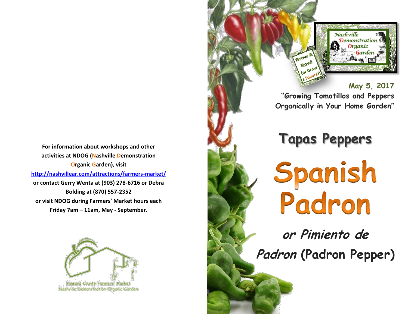**For information about workshops and other activities at NDOG (Nashville Demonstration Organic Garden), visit <http://nashvillear.com/attractions/farmers-market/> or contact Gerry Wenta at (903) 278-6716 or Debra Bolding at (870) 557-2352 or visit NDOG during Farmers' Market hours each Friday 7am – 11am, May - September.**



Howard County Farmers' Market Nashville Demonstration Organic Garden